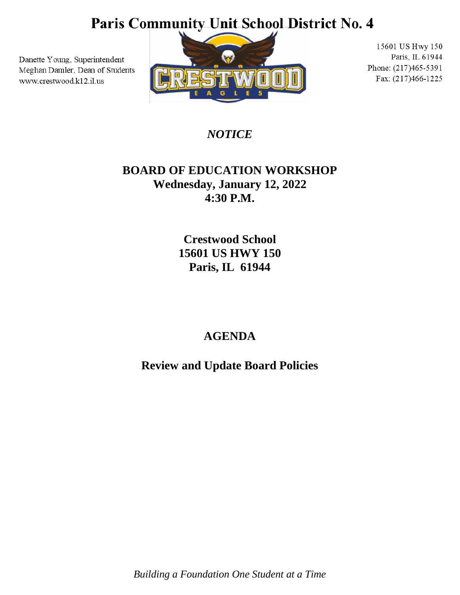## Paris Community Unit School District No. 4

Danette Young, Superintendent Meghan Damler, Dean of Students www.crestwood.k12.il.us



15601 US Hwy 150 Paris, IL 61944 Phone: (217)465-5391 Fax: (217)466-1225

*NOTICE*

#### **BOARD OF EDUCATION WORKSHOP Wednesday, January 12, 2022 4:30 P.M.**

**Crestwood School 15601 US HWY 150 Paris, IL 61944**

### **AGENDA**

**Review and Update Board Policies**

*Building a Foundation One Student at a Time*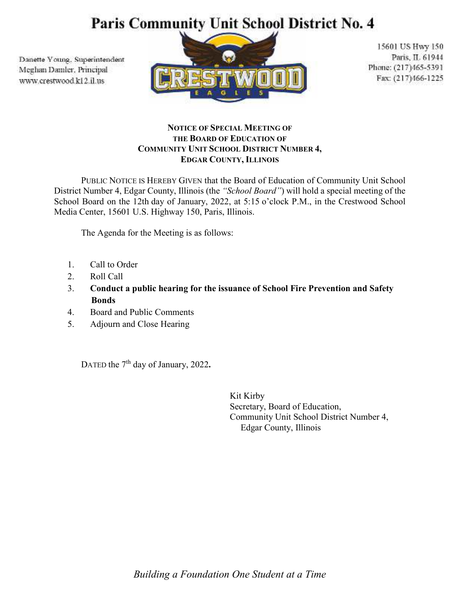# Paris Community Unit School District No. 4

Danette Young, Superintendent Meghan Damler, Principal www.crestwood.k12.il.us



15601 US Hwy 150 Paris, IL 61944 Phone: (217)465-5391 Fax: (217)466-1225

#### **NOTICE OF SPECIAL MEETING OF THE BOARD OF EDUCATION OF COMMUNITY UNIT SCHOOL DISTRICT NUMBER 4, EDGAR COUNTY, ILLINOIS**

PUBLIC NOTICE IS HEREBY GIVEN that the Board of Education of Community Unit School District Number 4, Edgar County, Illinois (the *"School Board"*) will hold a special meeting of the School Board on the 12th day of January, 2022, at 5:15 o'clock P.M., in the Crestwood School Media Center, 15601 U.S. Highway 150, Paris, Illinois.

The Agenda for the Meeting is as follows:

- 1. Call to Order
- 2. Roll Call
- 3. **Conduct a public hearing for the issuance of School Fire Prevention and Safety Bonds**
- 4. Board and Public Comments
- 5. Adjourn and Close Hearing

DATED the 7<sup>th</sup> day of January, 2022.

Kit Kirby Secretary, Board of Education, Community Unit School District Number 4, Edgar County, Illinois